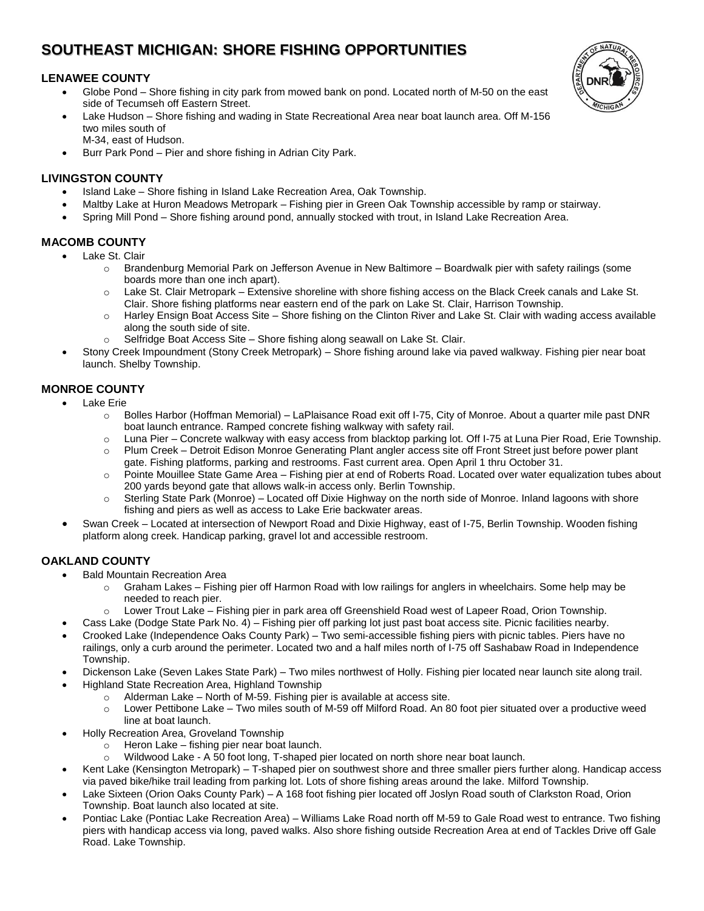# **SOUTHEAST MICHIGAN: SHORE FISHING OPPORTUNITIES**

### **LENAWEE COUNTY**

- Globe Pond Shore fishing in city park from mowed bank on pond. Located north of M-50 on the east side of Tecumseh off Eastern Street.
- Lake Hudson Shore fishing and wading in State Recreational Area near boat launch area. Off M-156 two miles south of M-34, east of Hudson.
- Burr Park Pond Pier and shore fishing in Adrian City Park.

#### **LIVINGSTON COUNTY**

- Island Lake Shore fishing in Island Lake Recreation Area, Oak Township.
- Maltby Lake at Huron Meadows Metropark Fishing pier in Green Oak Township accessible by ramp or stairway.
- Spring Mill Pond Shore fishing around pond, annually stocked with trout, in Island Lake Recreation Area.

#### **MACOMB COUNTY**

- Lake St. Clair
	- o Brandenburg Memorial Park on Jefferson Avenue in New Baltimore Boardwalk pier with safety railings (some boards more than one inch apart).
	- $\circ$  Lake St. Clair Metropark Extensive shoreline with shore fishing access on the Black Creek canals and Lake St. Clair. Shore fishing platforms near eastern end of the park on Lake St. Clair, Harrison Township.
	- $\circ$  Harley Ensign Boat Access Site Shore fishing on the Clinton River and Lake St. Clair with wading access available along the south side of site.
	- o Selfridge Boat Access Site Shore fishing along seawall on Lake St. Clair.
- Stony Creek Impoundment (Stony Creek Metropark) Shore fishing around lake via paved walkway. Fishing pier near boat launch. Shelby Township.

## **MONROE COUNTY**

- Lake Erie
	- $\circ$  Bolles Harbor (Hoffman Memorial) LaPlaisance Road exit off I-75, City of Monroe. About a quarter mile past DNR boat launch entrance. Ramped concrete fishing walkway with safety rail.
	- o Luna Pier Concrete walkway with easy access from blacktop parking lot. Off I-75 at Luna Pier Road, Erie Township.
	- o Plum Creek Detroit Edison Monroe Generating Plant angler access site off Front Street just before power plant gate. Fishing platforms, parking and restrooms. Fast current area. Open April 1 thru October 31.
	- o Pointe Mouillee State Game Area Fishing pier at end of Roberts Road. Located over water equalization tubes about 200 yards beyond gate that allows walk-in access only. Berlin Township.
	- $\circ$  Sterling State Park (Monroe) Located off Dixie Highway on the north side of Monroe. Inland lagoons with shore fishing and piers as well as access to Lake Erie backwater areas.
- Swan Creek Located at intersection of Newport Road and Dixie Highway, east of I-75, Berlin Township. Wooden fishing platform along creek. Handicap parking, gravel lot and accessible restroom.

# **OAKLAND COUNTY**

- Bald Mountain Recreation Area
	- $\circ$  Graham Lakes Fishing pier off Harmon Road with low railings for anglers in wheelchairs. Some help may be needed to reach pier.
		- $\circ$  Lower Trout Lake Fishing pier in park area off Greenshield Road west of Lapeer Road, Orion Township.
	- Cass Lake (Dodge State Park No. 4) Fishing pier off parking lot just past boat access site. Picnic facilities nearby.
- Crooked Lake (Independence Oaks County Park) Two semi-accessible fishing piers with picnic tables. Piers have no railings, only a curb around the perimeter. Located two and a half miles north of I-75 off Sashabaw Road in Independence Township.
- Dickenson Lake (Seven Lakes State Park) Two miles northwest of Holly. Fishing pier located near launch site along trail.
- Highland State Recreation Area, Highland Township
	- o Alderman Lake North of M-59. Fishing pier is available at access site.
		- o Lower Pettibone Lake Two miles south of M-59 off Milford Road. An 80 foot pier situated over a productive weed line at boat launch.
	- Holly Recreation Area, Groveland Township
		- o Heron Lake fishing pier near boat launch.
		- o Wildwood Lake A 50 foot long, T-shaped pier located on north shore near boat launch.
- Kent Lake (Kensington Metropark) T-shaped pier on southwest shore and three smaller piers further along. Handicap access via paved bike/hike trail leading from parking lot. Lots of shore fishing areas around the lake. Milford Township.
- Lake Sixteen (Orion Oaks County Park) A 168 foot fishing pier located off Joslyn Road south of Clarkston Road, Orion Township. Boat launch also located at site.
- Pontiac Lake (Pontiac Lake Recreation Area) Williams Lake Road north off M-59 to Gale Road west to entrance. Two fishing piers with handicap access via long, paved walks. Also shore fishing outside Recreation Area at end of Tackles Drive off Gale Road. Lake Township.